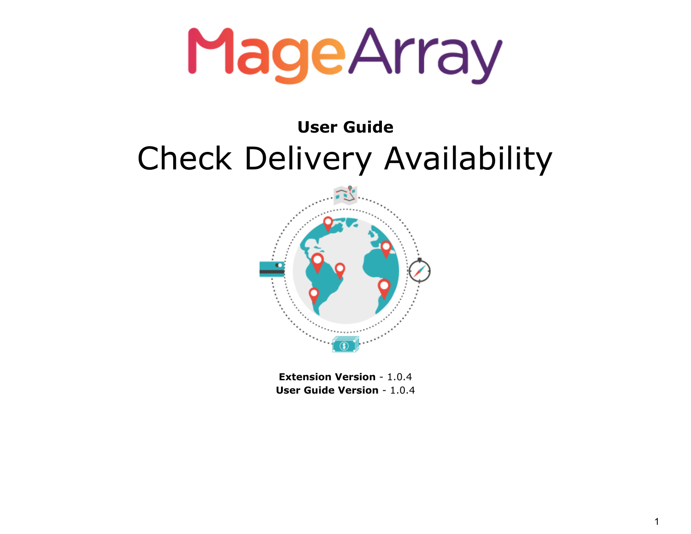## **User Guide** Check Delivery Availability



**Extension Version** - 1.0.4 **User Guide Version** - 1.0.4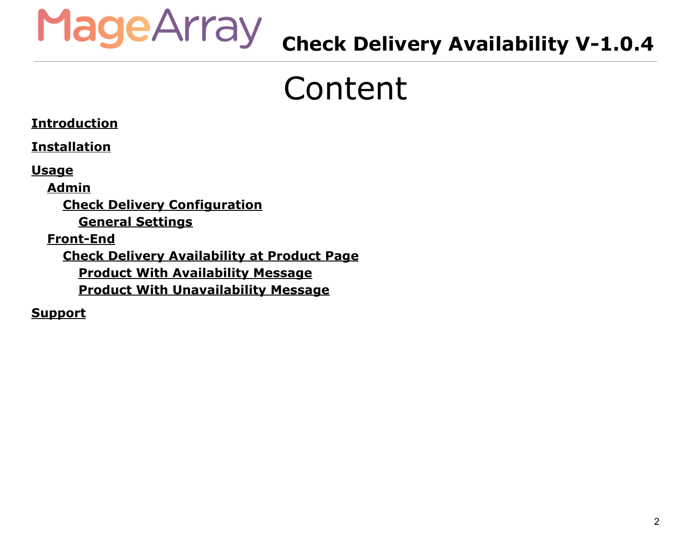

### **Check Delivery Availability V-1.0.4**

## Content

#### **[Introduction](#page-2-0)**

**[Installation](#page-2-1)**

**[Usage](#page-3-0)**

**[Admin](#page-3-1)**

**Check Delivery [Configuration](#page-3-2)**

**General [Settings](#page-4-0)**

**[Front-End](#page-5-0)**

**Check Delivery [Availability](#page-5-1) at Product Page Product With [Availability](#page-5-2) Message Product With [Unavailability](#page-6-0) Message**

**[Support](#page-7-0)**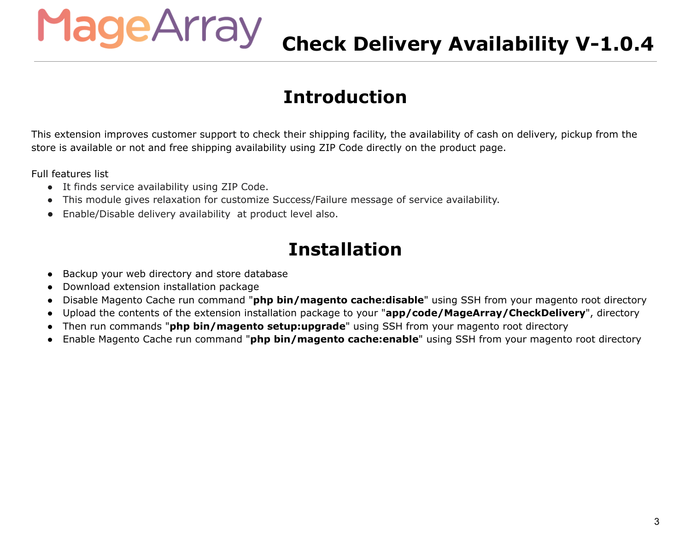## **Check Delivery Availability V-1.0.4**

#### **Introduction**

This extension improves customer support to check their shipping facility, the availability of cash on delivery, pickup from the store is available or not and free shipping availability using ZIP Code directly on the product page.

Full features list

● It finds service availability using ZIP Code.

<span id="page-2-0"></span>MageArray

- This module gives relaxation for customize Success/Failure message of service availability.
- <span id="page-2-1"></span>● Enable/Disable delivery availability at product level also.

#### **Installation**

- Backup your web directory and store database
- Download extension installation package
- Disable Magento Cache run command "**php bin/magento cache:disable**" using SSH from your magento root directory
- Upload the contents of the extension installation package to your "**app/code/MageArray/CheckDelivery**", directory
- Then run commands "**php bin/magento setup:upgrade**" using SSH from your magento root directory
- Enable Magento Cache run command "**php bin/magento cache:enable**" using SSH from your magento root directory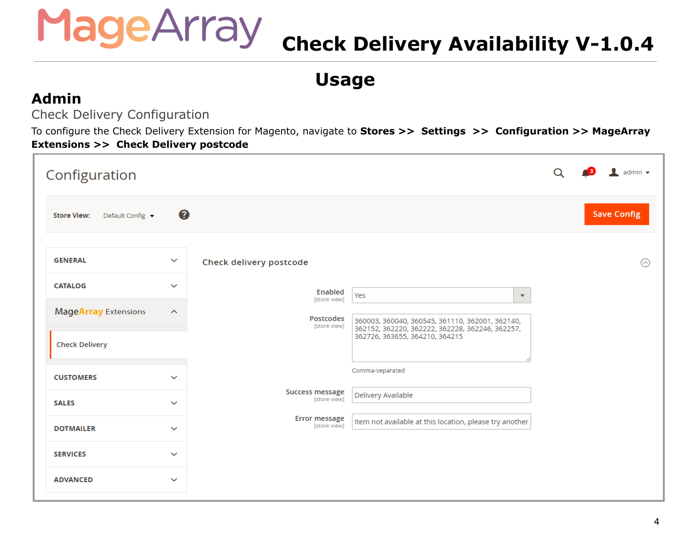## **Check Delivery Availability V-1.0.4**

**Usage**

#### <span id="page-3-1"></span><span id="page-3-0"></span>**Admin**

<span id="page-3-2"></span>Check Delivery Configuration

To configure the Check Delivery Extension for Magento, navigate to **Stores >> Settings >> Configuration >> MageArray Extensions >> Check Delivery postcode**

| Configuration                          |                         |                                      |                                                                                                    | Q | $\bullet$ admin $\bullet$ |
|----------------------------------------|-------------------------|--------------------------------------|----------------------------------------------------------------------------------------------------|---|---------------------------|
| <b>Store View:</b><br>Default Config ▼ | Ø                       |                                      |                                                                                                    |   | <b>Save Config</b>        |
| <b>GENERAL</b>                         | $\checkmark$            | <b>Check delivery postcode</b>       |                                                                                                    |   | ⊙                         |
| <b>CATALOG</b>                         | $\checkmark$            | <b>Enabled</b><br>[store view]       | Yes<br>$\boldsymbol{\mathrm{v}}$                                                                   |   |                           |
| MageArray Extensions                   | $\widehat{\phantom{a}}$ | Postcodes<br>[store view]            | 360003, 360040, 360545, 361110, 362001, 362140,<br>362152, 362220, 362222, 362228, 362246, 362257, |   |                           |
| <b>Check Delivery</b>                  |                         |                                      | 362726, 363655, 364210, 364215                                                                     |   |                           |
| <b>CUSTOMERS</b>                       | $\checkmark$            |                                      | Comma-separated                                                                                    |   |                           |
| <b>SALES</b>                           | $\checkmark$            | Success message<br>[store view]      | Delivery Available                                                                                 |   |                           |
| <b>DOTMAILER</b>                       | $\checkmark$            | <b>Error message</b><br>[store view] | Item not available at this location, please try another                                            |   |                           |
| <b>SERVICES</b>                        | $\checkmark$            |                                      |                                                                                                    |   |                           |
| <b>ADVANCED</b>                        | $\checkmark$            |                                      |                                                                                                    |   |                           |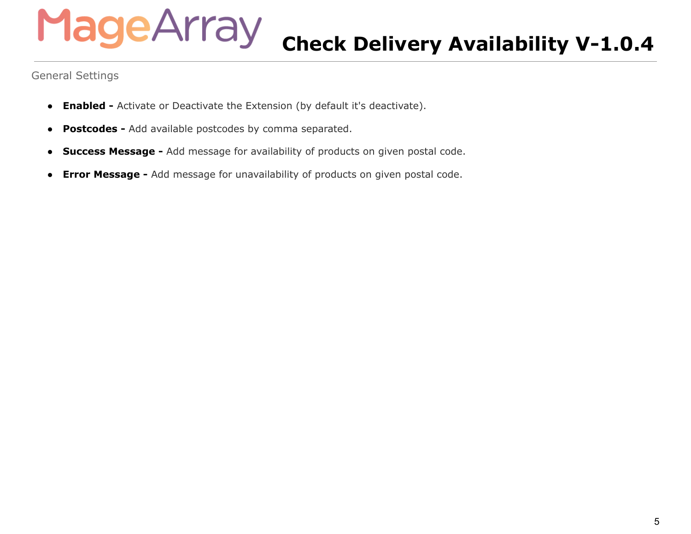## MageArray **Check Delivery Availability V-1.0.4**

<span id="page-4-0"></span>General Settings

- **Enabled -** Activate or Deactivate the Extension (by default it's deactivate).
- **Postcodes -** Add available postcodes by comma separated.
- **Success Message -** Add message for availability of products on given postal code.
- **Error Message -** Add message for unavailability of products on given postal code.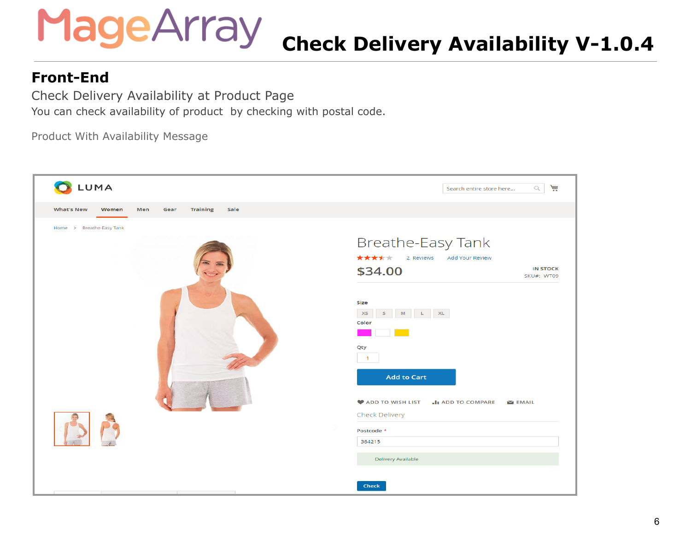## **Check Delivery Availability V-1.0.4**

#### <span id="page-5-0"></span>**Front-End**

<span id="page-5-1"></span>Check Delivery Availability at Product Page You can check availability of product by checking with postal code.

<span id="page-5-2"></span>Product With Availability Message

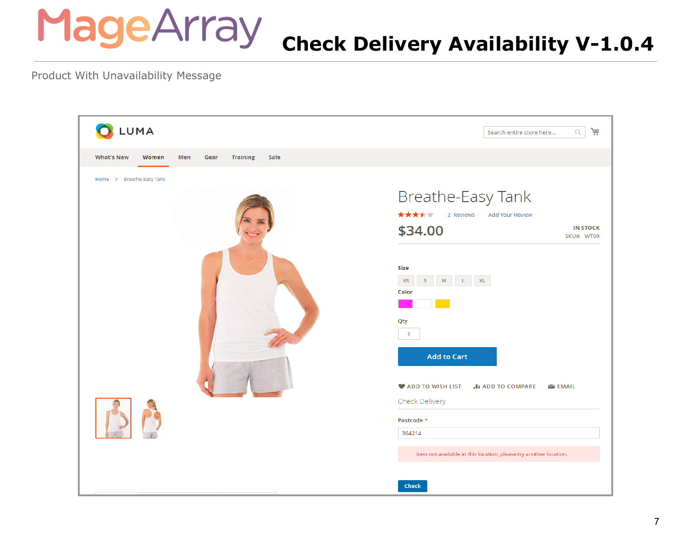### **Check Delivery Availability V-1.0.4**

<span id="page-6-0"></span>Product With Unavailability Message